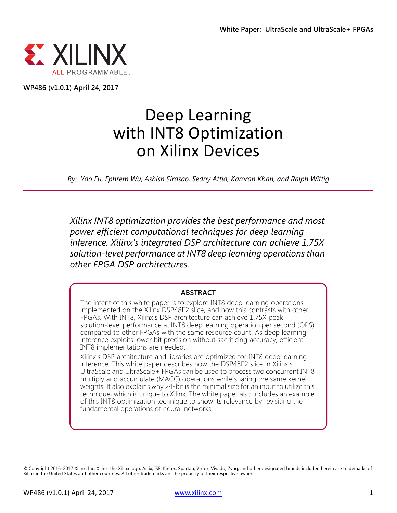

**WP486 (v1.0.1) April 24, 2017**

# Deep Learning with INT8 Optimization on Xilinx Devices

*By: Yao Fu, Ephrem Wu, Ashish Sirasao, Sedny Attia, Kamran Khan, and Ralph Wittig*

*Xilinx INT8 optimization provides the best performance and most power efficient computational techniques for deep learning inference. Xilinx's integrated DSP architecture can achieve 1.75X solution-level performance at INT8 deep learning operations than other FPGA DSP architectures.*

#### **ABSTRACT**

The intent of this white paper is to explore INT8 deep learning operations implemented on the Xilinx DSP48E2 slice, and how this contrasts with other FPGAs. With INT8, Xilinx's DSP architecture can achieve 1.75X peak solution-level performance at INT8 deep learning operation per second (OPS) compared to other FPGAs with the same resource count. As deep learning inference exploits lower bit precision without sacrificing accuracy, efficient INT8 implementations are needed.

Xilinx's DSP architecture and libraries are optimized for INT8 deep learning inference. This white paper describes how the DSP48E2 slice in Xilinx's UltraScale and UltraScale+ FPGAs can be used to process two concurrent INT8 multiply and accumulate (MACC) operations while sharing the same kernel weights. It also explains why 24-bit is the minimal size for an input to utilize this technique, which is unique to Xilinx. The white paper also includes an example of this INT8 optimization technique to show its relevance by revisiting the fundamental operations of neural networks

<sup>©</sup> Copyright 2016–2017 Xilinx, Inc. Xilinx, the Xilinx logo, Artix, ISE, Kintex, Spartan, Virtex, Vivado, Zynq, and other designated brands included herein are trademarks of Xilinx in the United States and other countries. All other trademarks are the property of their respective owners.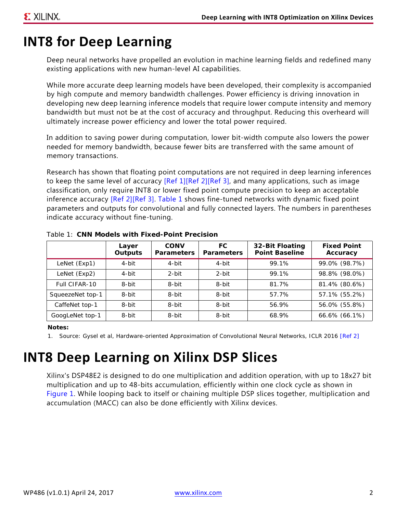### **INT8 for Deep Learning**

Deep neural networks have propelled an evolution in machine learning fields and redefined many existing applications with new human-level AI capabilities.

While more accurate deep learning models have been developed, their complexity is accompanied by high compute and memory bandwidth challenges. Power efficiency is driving innovation in developing new deep learning inference models that require lower compute intensity and memory bandwidth but must not be at the cost of accuracy and throughput. Reducing this overheard will ultimately increase power efficiency and lower the total power required.

In addition to saving power during computation, lower bit-width compute also lowers the power needed for memory bandwidth, because fewer bits are transferred with the same amount of memory transactions.

Research has shown that floating point computations are not required in deep learning inferences to keep the same level of accuracy  $[Ref 1][Ref 2][Ref 3]$  $[Ref 1][Ref 2][Ref 3]$  $[Ref 1][Ref 2][Ref 3]$ , and many applications, such as image classification, only require INT8 or lower fixed point compute precision to keep an acceptable inference accuracy [\[Ref 2\]](#page-9-0)[\[Ref 3\]](#page-9-2). [Table 1](#page-1-0) shows fine-tuned networks with dynamic fixed point parameters and outputs for convolutional and fully connected layers. The numbers in parentheses indicate accuracy without fine-tuning.

|                  | Layer<br>Outputs | <b>CONV</b><br><b>Parameters</b> | FC<br><b>Parameters</b> | 32-Bit Floating<br><b>Point Baseline</b> | <b>Fixed Point</b><br>Accuracy |
|------------------|------------------|----------------------------------|-------------------------|------------------------------------------|--------------------------------|
| LeNet (Exp1)     | 4-bit            | 4-bit                            | 4-bit                   | 99.1%                                    | 99.0% (98.7%)                  |
| LeNet (Exp2)     | 4-bit            | 2-bit                            | 2-bit                   | 99.1%                                    | 98.8% (98.0%)                  |
| Full CIFAR-10    | 8-bit            | 8-bit                            | 8-bit                   | 81.7%                                    | 81.4% (80.6%)                  |
| SqueezeNet top-1 | 8-bit            | 8-bit                            | 8-bit                   | 57.7%                                    | 57.1% (55.2%)                  |
| CaffeNet top-1   | 8-bit            | 8-bit                            | 8-bit                   | 56.9%                                    | 56.0% (55.8%)                  |
| GoogLeNet top-1  | 8-bit            | 8-bit                            | 8-bit                   | 68.9%                                    | 66.6% (66.1%)                  |

<span id="page-1-0"></span>*Table 1:* **CNN Models with Fixed-Point Precision**

**Notes:** 

1. Source: Gysel et al, Hardware-oriented Approximation of Convolutional Neural Networks, ICLR 2016 [\[Ref 2\]](#page-9-0)

## **INT8 Deep Learning on Xilinx DSP Slices**

Xilinx's DSP48E2 is designed to do one multiplication and addition operation, with up to 18x27 bit multiplication and up to 48-bits accumulation, efficiently within one clock cycle as shown in [Figure 1.](#page-2-0) While looping back to itself or chaining multiple DSP slices together, multiplication and accumulation (MACC) can also be done efficiently with Xilinx devices.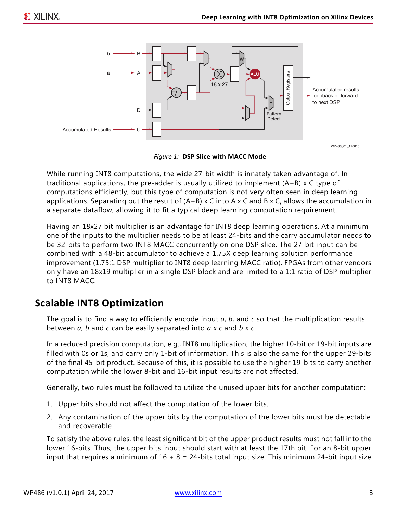

*Figure 1:* **DSP Slice with MACC Mode**

<span id="page-2-0"></span>While running INT8 computations, the wide 27-bit width is innately taken advantage of. In traditional applications, the pre-adder is usually utilized to implement (A+B) x C type of computations efficiently, but this type of computation is not very often seen in deep learning applications. Separating out the result of  $(A+B)$  x C into A x C and B x C, allows the accumulation in a separate dataflow, allowing it to fit a typical deep learning computation requirement.

Having an 18x27 bit multiplier is an advantage for INT8 deep learning operations. At a minimum one of the inputs to the multiplier needs to be at least 24-bits and the carry accumulator needs to be 32-bits to perform two INT8 MACC concurrently on one DSP slice. The 27-bit input can be combined with a 48-bit accumulator to achieve a 1.75X deep learning solution performance improvement (1.75:1 DSP multiplier to INT8 deep learning MACC ratio). FPGAs from other vendors only have an 18x19 multiplier in a single DSP block and are limited to a 1:1 ratio of DSP multiplier to INT8 MACC.

#### **Scalable INT8 Optimization**

The goal is to find a way to efficiently encode input *a*, *b*, and *c* so that the multiplication results between *a*, *b* and *c* can be easily separated into *a x c* and *b x c*.

In a reduced precision computation, e.g., INT8 multiplication, the higher 10-bit or 19-bit inputs are filled with 0s or 1s, and carry only 1-bit of information. This is also the same for the upper 29-bits of the final 45-bit product. Because of this, it is possible to use the higher 19-bits to carry another computation while the lower 8-bit and 16-bit input results are not affected.

Generally, two rules must be followed to utilize the unused upper bits for another computation:

- 1. Upper bits should not affect the computation of the lower bits.
- 2. Any contamination of the upper bits by the computation of the lower bits must be detectable and recoverable

To satisfy the above rules, the least significant bit of the upper product results must not fall into the lower 16-bits. Thus, the upper bits input should start with at least the 17th bit. For an 8-bit upper input that requires a minimum of  $16 + 8 = 24$ -bits total input size. This minimum 24-bit input size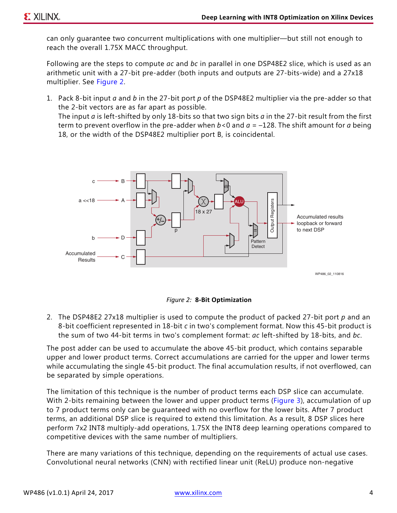can only guarantee two concurrent multiplications with one multiplier—but still not enough to reach the overall 1.75X MACC throughput.

Following are the steps to compute *ac* and *bc* in parallel in one DSP48E2 slice, which is used as an arithmetic unit with a 27-bit pre-adder (both inputs and outputs are 27-bits-wide) and a 27x18 multiplier. See [Figure 2.](#page-3-0)

1. Pack 8-bit input *a* and *b* in the 27-bit port *p* of the DSP48E2 multiplier via the pre-adder so that the 2-bit vectors are as far apart as possible. The input *a* is left-shifted by only 18-bits so that two sign bits *a* in the 27-bit result from the first term to prevent overflow in the pre-adder when *b*<0 and *a* = –128. The shift amount for *a* being 18, or the width of the DSP48E2 multiplier port B, is coincidental.

<span id="page-3-0"></span>



2. The DSP48E2 27x18 multiplier is used to compute the product of packed 27-bit port *p* and an 8-bit coefficient represented in 18-bit *c* in two's complement format. Now this 45-bit product is the sum of two 44-bit terms in two's complement format: *ac* left-shifted by 18-bits, and *bc*.

The post adder can be used to accumulate the above 45-bit product, which contains separable upper and lower product terms. Correct accumulations are carried for the upper and lower terms while accumulating the single 45-bit product. The final accumulation results, if not overflowed, can be separated by simple operations.

The limitation of this technique is the number of product terms each DSP slice can accumulate. With 2-bits remaining between the lower and upper product terms ([Figure 3\)](#page-4-0), accumulation of up to 7 product terms only can be guaranteed with no overflow for the lower bits. After 7 product terms, an additional DSP slice is required to extend this limitation. As a result, 8 DSP slices here perform 7x2 INT8 multiply-add operations, 1.75X the INT8 deep learning operations compared to competitive devices with the same number of multipliers.

There are many variations of this technique, depending on the requirements of actual use cases. Convolutional neural networks (CNN) with rectified linear unit (ReLU) produce non-negative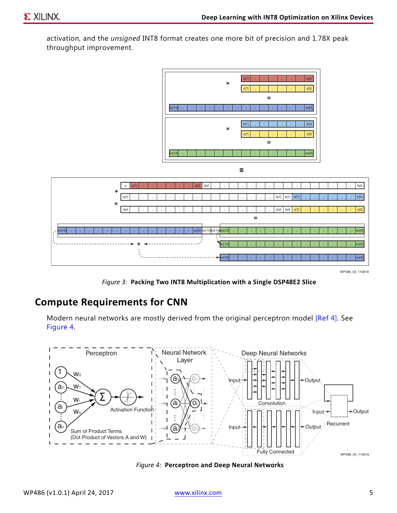activation, and the *unsigned* INT8 format creates one more bit of precision and 1.78X peak throughput improvement.

<span id="page-4-0"></span>

WP486\_03\_110816

*Figure 3:* **Packing Two INT8 Multiplication with a Single DSP48E2 Slice**

#### **Compute Requirements for CNN**

Modern neural networks are mostly derived from the original perceptron model [\[Ref 4\]](#page-9-3). See [Figure 4.](#page-4-1)

<span id="page-4-1"></span>

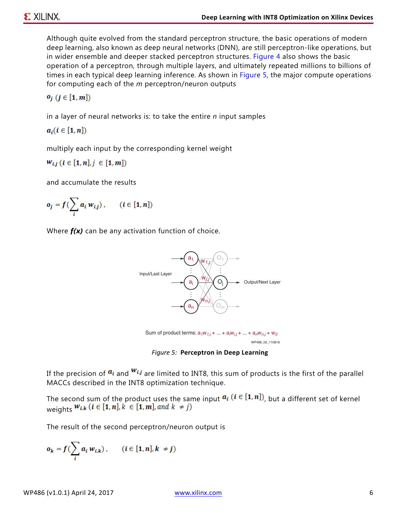Although quite evolved from the standard perceptron structure, the basic operations of modern deep learning, also known as deep neural networks (DNN), are still perceptron-like operations, but in wider ensemble and deeper stacked perceptron structures. [Figure 4](#page-4-1) also shows the basic operation of a perceptron, through multiple layers, and ultimately repeated millions to billions of times in each typical deep learning inference. As shown in [Figure 5,](#page-5-0) the major compute operations for computing each of the *m* perceptron/neuron outputs

$$
o_j\ (j\in [1,m])
$$

in a layer of neural networks is: to take the entire *n* input samples

 $a_i (i \in [1, n])$ 

multiply each input by the corresponding kernel weight

 $W_{i,j}$   $(i \in [1, n], j \in [1, m])$ 

and accumulate the results

$$
o_j = f\left(\sum_i a_i w_{i,j}\right), \qquad (i \in [1, n])
$$

<span id="page-5-0"></span>Where *f(x)* can be any activation function of choice.



*Figure 5:* **Perceptron in Deep Learning**

If the precision of  $a_i$  and  $w_{i,j}$  are limited to INT8, this sum of products is the first of the parallel MACCs described in the INT8 optimization technique.

The second sum of the product uses the same input  $a_i$  ( $i \in [1, n]$ ), but a different set of kernel weights  $W_{i,k}$   $(i \in [1, n], k \in [1, m],$  and  $k \neq j)$ 

The result of the second perceptron/neuron output is

$$
o_k = f\left(\sum_i a_i w_{i,k}\right), \qquad (i \in [1, n], k \neq j)
$$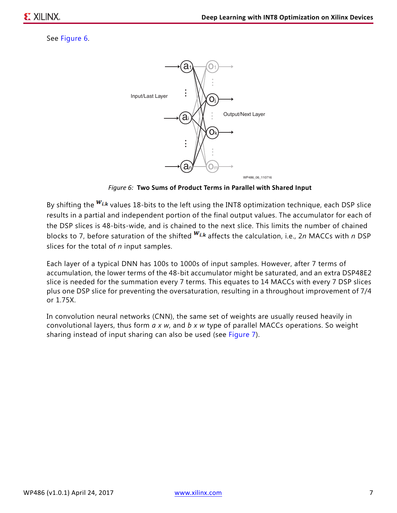#### <span id="page-6-0"></span>See [Figure 6](#page-6-0).



*Figure 6:* **Two Sums of Product Terms in Parallel with Shared Input**

By shifting the  $w_{i,k}$  values 18-bits to the left using the INT8 optimization technique, each DSP slice results in a partial and independent portion of the final output values. The accumulator for each of the DSP slices is 48-bits-wide, and is chained to the next slice. This limits the number of chained blocks to 7, before saturation of the shifted  $W_{i,k}$  affects the calculation, i.e., 2*n* MACCs with *n* DSP slices for the total of *n* input samples.

Each layer of a typical DNN has 100s to 1000s of input samples. However, after 7 terms of accumulation, the lower terms of the 48-bit accumulator might be saturated, and an extra DSP48E2 slice is needed for the summation every 7 terms. This equates to 14 MACCs with every 7 DSP slices plus one DSP slice for preventing the oversaturation, resulting in a throughout improvement of 7/4 or 1.75X.

In convolution neural networks (CNN), the same set of weights are usually reused heavily in convolutional layers, thus form *a x w*, and *b x w* type of parallel MACCs operations. So weight sharing instead of input sharing can also be used (see [Figure 7\)](#page-7-0).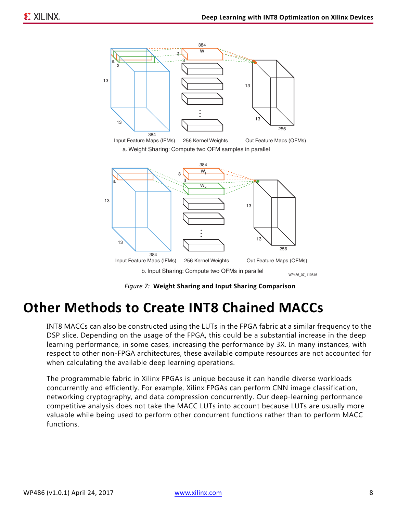<span id="page-7-0"></span>

*Figure 7:* **Weight Sharing and Input Sharing Comparison**

#### **Other Methods to Create INT8 Chained MACCs**

INT8 MACCs can also be constructed using the LUTs in the FPGA fabric at a similar frequency to the DSP slice. Depending on the usage of the FPGA, this could be a substantial increase in the deep learning performance, in some cases, increasing the performance by 3X. In many instances, with respect to other non-FPGA architectures, these available compute resources are not accounted for when calculating the available deep learning operations.

The programmable fabric in Xilinx FPGAs is unique because it can handle diverse workloads concurrently and efficiently. For example, Xilinx FPGAs can perform CNN image classification, networking cryptography, and data compression concurrently. Our deep-learning performance competitive analysis does not take the MACC LUTs into account because LUTs are usually more valuable while being used to perform other concurrent functions rather than to perform MACC functions.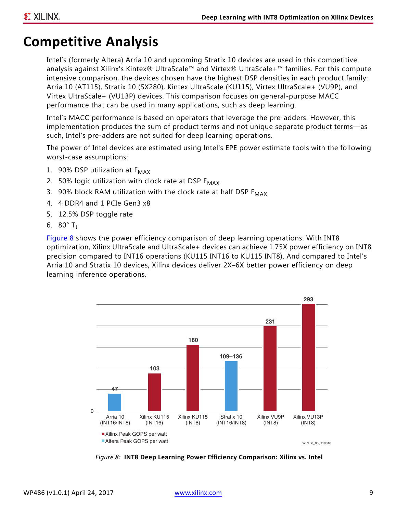## **Competitive Analysis**

Intel's (formerly Altera) Arria 10 and upcoming Stratix 10 devices are used in this competitive analysis against Xilinx's Kintex® UltraScale™ and Virtex® UltraScale+™ families. For this compute intensive comparison, the devices chosen have the highest DSP densities in each product family: Arria 10 (AT115), Stratix 10 (SX280), Kintex UltraScale (KU115), Virtex UltraScale+ (VU9P), and Virtex UltraScale+ (VU13P) devices. This comparison focuses on general-purpose MACC performance that can be used in many applications, such as deep learning.

Intel's MACC performance is based on operators that leverage the pre-adders. However, this implementation produces the sum of product terms and not unique separate product terms—as such, Intel's pre-adders are not suited for deep learning operations.

The power of Intel devices are estimated using Intel's EPE power estimate tools with the following worst-case assumptions:

- 1. 90% DSP utilization at  $F_{MAX}$
- 2. 50% logic utilization with clock rate at DSP  $F_{MAX}$
- 3. 90% block RAM utilization with the clock rate at half DSP  $F_{MAX}$
- 4. 4 DDR4 and 1 PCIe Gen3 x8
- 5. 12.5% DSP toggle rate
- 6.  $80^\circ$  T<sub>i</sub>

[Figure 8](#page-8-0) shows the power efficiency comparison of deep learning operations. With INT8 optimization, Xilinx UltraScale and UltraScale+ devices can achieve 1.75X power efficiency on INT8 precision compared to INT16 operations (KU115 INT16 to KU115 INT8). And compared to Intel's Arria 10 and Stratix 10 devices, Xilinx devices deliver 2X–6X better power efficiency on deep learning inference operations.

<span id="page-8-0"></span>

*Figure 8:* **INT8 Deep Learning Power Efficiency Comparison: Xilinx vs. Intel**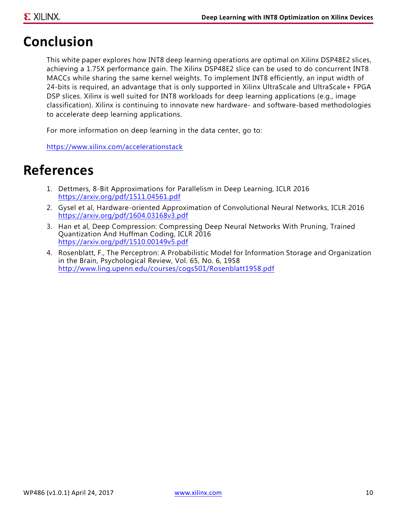### **Conclusion**

This white paper explores how INT8 deep learning operations are optimal on Xilinx DSP48E2 slices, achieving a 1.75X performance gain. The Xilinx DSP48E2 slice can be used to do concurrent INT8 MACCs while sharing the same kernel weights. To implement INT8 efficiently, an input width of 24-bits is required, an advantage that is only supported in Xilinx UltraScale and UltraScale+ FPGA DSP slices. Xilinx is well suited for INT8 workloads for deep learning applications (e.g., image classification). Xilinx is continuing to innovate new hardware- and software-based methodologies to accelerate deep learning applications.

For more information on deep learning in the data center, go to:

<https://www.xilinx.com/accelerationstack>

#### **References**

- <span id="page-9-1"></span>1. Dettmers, 8-Bit Approximations for Parallelism in Deep Learning, ICLR 2016 <https://arxiv.org/pdf/1511.04561.pdf>
- <span id="page-9-0"></span>2. Gysel et al, Hardware-oriented Approximation of Convolutional Neural Networks, ICLR 2016 <https://arxiv.org/pdf/1604.03168v3.pdf>
- <span id="page-9-2"></span>3. Han et al, Deep Compression: Compressing Deep Neural Networks With Pruning, Trained Quantization And Huffman Coding, ICLR 2016 <https://arxiv.org/pdf/1510.00149v5.pdf>
- <span id="page-9-3"></span>4. Rosenblatt, F., The Perceptron: A Probabilistic Model for Information Storage and Organization in the Brain, Psychological Review, Vol. 65, No. 6, 1958 <http://www.ling.upenn.edu/courses/cogs501/Rosenblatt1958.pdf>